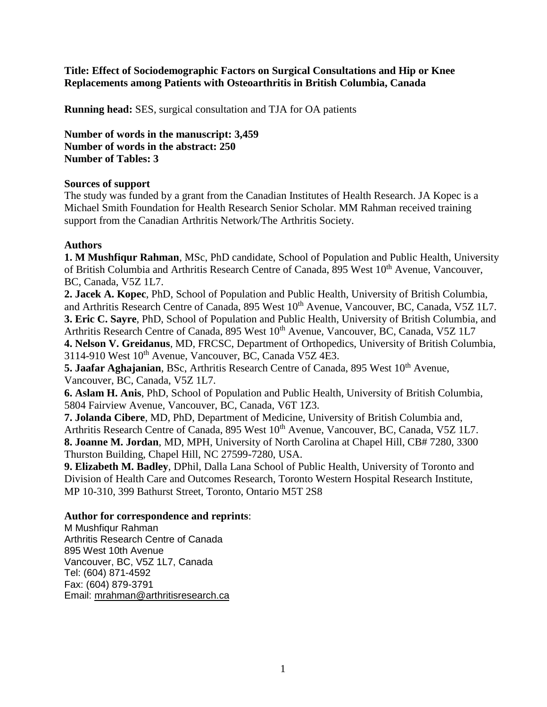**Title: Effect of Sociodemographic Factors on Surgical Consultations and Hip or Knee Replacements among Patients with Osteoarthritis in British Columbia, Canada**

**Running head:** SES, surgical consultation and TJA for OA patients

**Number of words in the manuscript: 3,459 Number of words in the abstract: 250 Number of Tables: 3**

## **Sources of support**

The study was funded by a grant from the Canadian Institutes of Health Research. JA Kopec is a Michael Smith Foundation for Health Research Senior Scholar. MM Rahman received training support from the Canadian Arthritis Network/The Arthritis Society.

## **Authors**

**1. M Mushfiqur Rahman**, MSc, PhD candidate, School of Population and Public Health, University of British Columbia and Arthritis Research Centre of Canada, 895 West 10<sup>th</sup> Avenue, Vancouver, BC, Canada, V5Z 1L7.

**2. Jacek A. Kopec**, PhD, School of Population and Public Health, University of British Columbia, and Arthritis Research Centre of Canada, 895 West  $10^{th}$  Avenue, Vancouver, BC, Canada, V5Z 1L7. **3. Eric C. Sayre**, PhD, School of Population and Public Health, University of British Columbia, and Arthritis Research Centre of Canada, 895 West  $10^{th}$  Avenue, Vancouver, BC, Canada, V5Z 1L7 **4. Nelson V. Greidanus**, MD, FRCSC, Department of Orthopedics, University of British Columbia, 3114-910 West 10<sup>th</sup> Avenue, Vancouver, BC, Canada V5Z 4E3.

5. Jaafar Aghajanian, BSc, Arthritis Research Centre of Canada, 895 West 10<sup>th</sup> Avenue. Vancouver, BC, Canada, V5Z 1L7.

**6. Aslam H. Anis**, PhD, School of Population and Public Health, University of British Columbia, 5804 Fairview Avenue, Vancouver, BC, Canada, V6T 1Z3.

**7. Jolanda Cibere**, MD, PhD, Department of Medicine, University of British Columbia and, Arthritis Research Centre of Canada, 895 West  $10^{th}$  Avenue, Vancouver, BC, Canada, V5Z 1L7. **8. Joanne M. Jordan**, MD, MPH, University of North Carolina at Chapel Hill, CB# 7280, 3300 Thurston Building, Chapel Hill, NC 27599-7280, USA.

**9. Elizabeth M. Badley**, DPhil, Dalla Lana School of Public Health, University of Toronto and Division of Health Care and Outcomes Research, Toronto Western Hospital Research Institute, MP 10-310, 399 Bathurst Street, Toronto, Ontario M5T 2S8

## **Author for correspondence and reprints**:

M Mushfiqur Rahman Arthritis Research Centre of Canada 895 West 10th Avenue Vancouver, BC, V5Z 1L7, Canada Tel: (604) 871-4592 Fax: (604) 879-3791 Email: [mrahman@arthritisresearch.ca](mailto:mrahman@arthritisresearch.ca)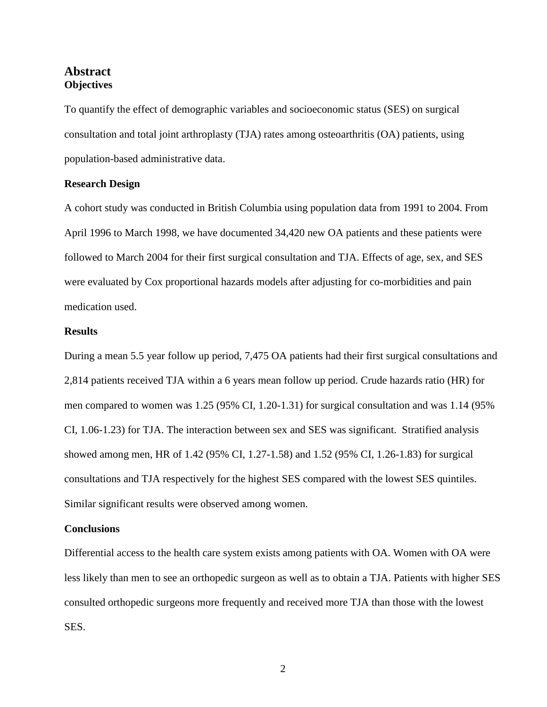# **Abstract Objectives**

To quantify the effect of demographic variables and socioeconomic status (SES) on surgical consultation and total joint arthroplasty (TJA) rates among osteoarthritis (OA) patients, using population-based administrative data.

## **Research Design**

A cohort study was conducted in British Columbia using population data from 1991 to 2004. From April 1996 to March 1998, we have documented 34,420 new OA patients and these patients were followed to March 2004 for their first surgical consultation and TJA. Effects of age, sex, and SES were evaluated by Cox proportional hazards models after adjusting for co-morbidities and pain medication used.

## **Results**

During a mean 5.5 year follow up period, 7,475 OA patients had their first surgical consultations and 2,814 patients received TJA within a 6 years mean follow up period. Crude hazards ratio (HR) for men compared to women was 1.25 (95% CI, 1.20-1.31) for surgical consultation and was 1.14 (95% CI, 1.06-1.23) for TJA. The interaction between sex and SES was significant. Stratified analysis showed among men, HR of 1.42 (95% CI, 1.27-1.58) and 1.52 (95% CI, 1.26-1.83) for surgical consultations and TJA respectively for the highest SES compared with the lowest SES quintiles. Similar significant results were observed among women.

#### **Conclusions**

Differential access to the health care system exists among patients with OA. Women with OA were less likely than men to see an orthopedic surgeon as well as to obtain a TJA. Patients with higher SES consulted orthopedic surgeons more frequently and received more TJA than those with the lowest SES.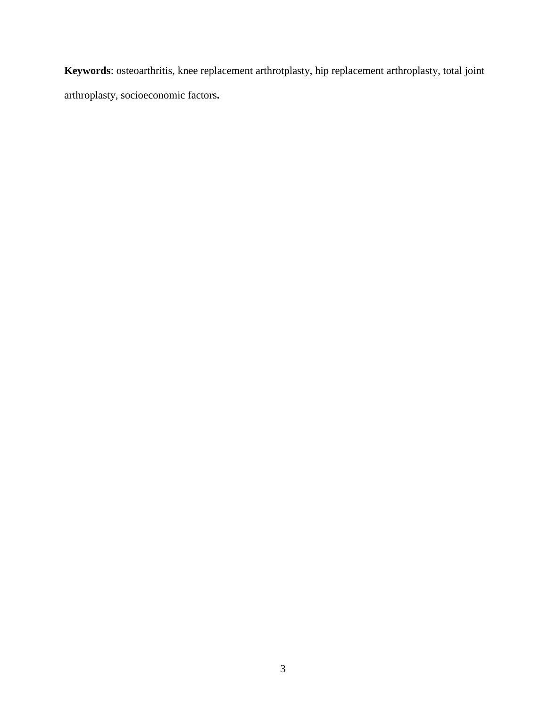**Keywords**: osteoarthritis, knee replacement arthrotplasty, hip replacement arthroplasty, total joint arthroplasty, socioeconomic factors**.**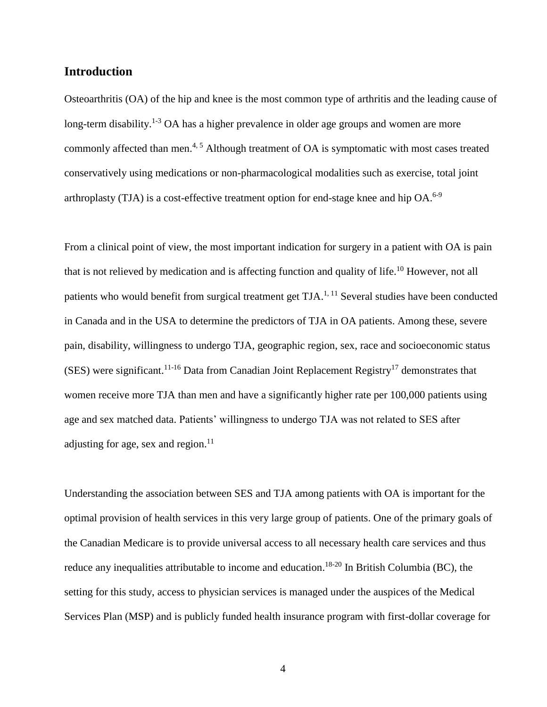# **Introduction**

Osteoarthritis (OA) of the hip and knee is the most common type of arthritis and the leading cause of long-term disability.<sup>1-3</sup> OA has a higher prevalence in older age groups and women are more commonly affected than men.<sup>4, 5</sup> Although treatment of OA is symptomatic with most cases treated conservatively using medications or non-pharmacological modalities such as exercise, total joint arthroplasty (TJA) is a cost-effective treatment option for end-stage knee and hip OA.<sup>6-9</sup>

From a clinical point of view, the most important indication for surgery in a patient with OA is pain that is not relieved by medication and is affecting function and quality of life.<sup>10</sup> However, not all patients who would benefit from surgical treatment get TJA.<sup>1, 11</sup> Several studies have been conducted in Canada and in the USA to determine the predictors of TJA in OA patients. Among these, severe pain, disability, willingness to undergo TJA, geographic region, sex, race and socioeconomic status (SES) were significant.<sup>11-16</sup> Data from Canadian Joint Replacement Registry<sup>17</sup> demonstrates that women receive more TJA than men and have a significantly higher rate per 100,000 patients using age and sex matched data. Patients' willingness to undergo TJA was not related to SES after adjusting for age, sex and region.<sup>11</sup>

Understanding the association between SES and TJA among patients with OA is important for the optimal provision of health services in this very large group of patients. One of the primary goals of the Canadian Medicare is to provide universal access to all necessary health care services and thus reduce any inequalities attributable to income and education.<sup>18-20</sup> In British Columbia (BC), the setting for this study, access to physician services is managed under the auspices of the Medical Services Plan (MSP) and is publicly funded health insurance program with first-dollar coverage for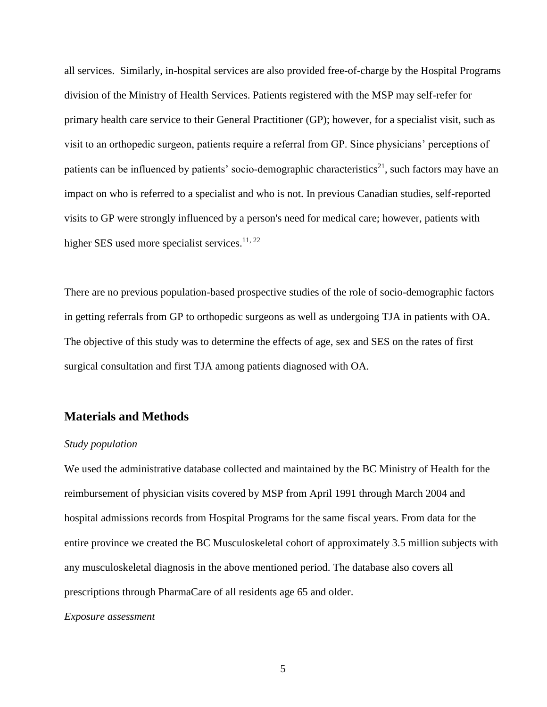all services. Similarly, in-hospital services are also provided free-of-charge by the Hospital Programs division of the Ministry of Health Services. Patients registered with the MSP may self-refer for primary health care service to their General Practitioner (GP); however, for a specialist visit, such as visit to an orthopedic surgeon, patients require a referral from GP. Since physicians' perceptions of patients can be influenced by patients' socio-demographic characteristics<sup>21</sup>, such factors may have an impact on who is referred to a specialist and who is not. In previous Canadian studies, self-reported visits to GP were strongly influenced by a person's need for medical care; however, patients with higher SES used more specialist services.<sup>11, 22</sup>

There are no previous population-based prospective studies of the role of socio-demographic factors in getting referrals from GP to orthopedic surgeons as well as undergoing TJA in patients with OA. The objective of this study was to determine the effects of age, sex and SES on the rates of first surgical consultation and first TJA among patients diagnosed with OA.

# **Materials and Methods**

## *Study population*

We used the administrative database collected and maintained by the BC Ministry of Health for the reimbursement of physician visits covered by MSP from April 1991 through March 2004 and hospital admissions records from Hospital Programs for the same fiscal years. From data for the entire province we created the BC Musculoskeletal cohort of approximately 3.5 million subjects with any musculoskeletal diagnosis in the above mentioned period. The database also covers all prescriptions through PharmaCare of all residents age 65 and older.

#### *Exposure assessment*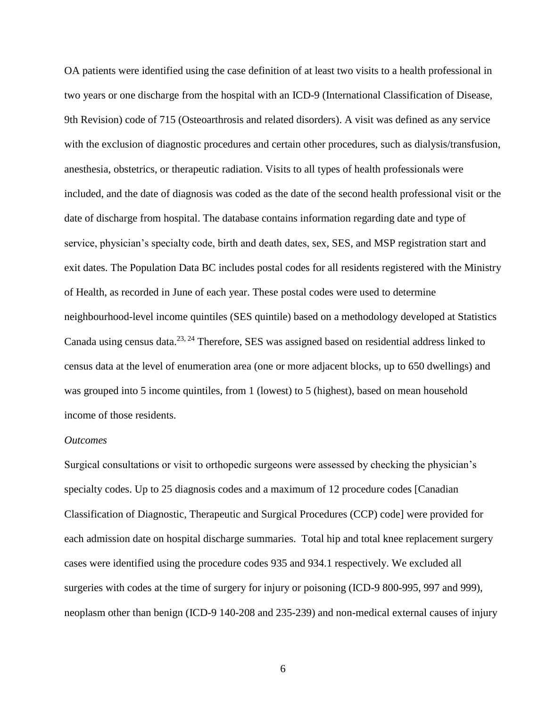OA patients were identified using the case definition of at least two visits to a health professional in two years or one discharge from the hospital with an ICD-9 (International Classification of Disease, 9th Revision) code of 715 (Osteoarthrosis and related disorders). A visit was defined as any service with the exclusion of diagnostic procedures and certain other procedures, such as dialysis/transfusion, anesthesia, obstetrics, or therapeutic radiation. Visits to all types of health professionals were included, and the date of diagnosis was coded as the date of the second health professional visit or the date of discharge from hospital. The database contains information regarding date and type of service, physician's specialty code, birth and death dates, sex, SES, and MSP registration start and exit dates. The Population Data BC includes postal codes for all residents registered with the Ministry of Health, as recorded in June of each year. These postal codes were used to determine neighbourhood-level income quintiles (SES quintile) based on a methodology developed at Statistics Canada using census data.<sup>23, 24</sup> Therefore, SES was assigned based on residential address linked to census data at the level of enumeration area (one or more adjacent blocks, up to 650 dwellings) and was grouped into 5 income quintiles, from 1 (lowest) to 5 (highest), based on mean household income of those residents.

#### *Outcomes*

Surgical consultations or visit to orthopedic surgeons were assessed by checking the physician's specialty codes. Up to 25 diagnosis codes and a maximum of 12 procedure codes [Canadian Classification of Diagnostic, Therapeutic and Surgical Procedures (CCP) code] were provided for each admission date on hospital discharge summaries. Total hip and total knee replacement surgery cases were identified using the procedure codes 935 and 934.1 respectively. We excluded all surgeries with codes at the time of surgery for injury or poisoning (ICD-9 800-995, 997 and 999), neoplasm other than benign (ICD-9 140-208 and 235-239) and non-medical external causes of injury

6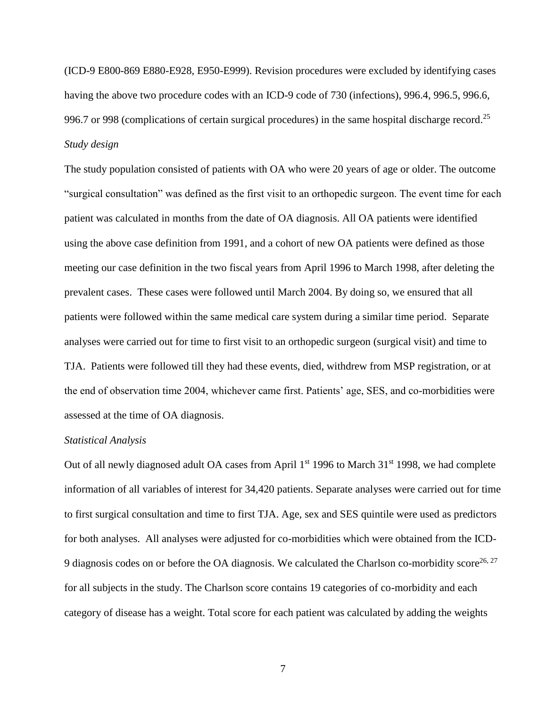(ICD-9 E800-869 E880-E928, E950-E999). Revision procedures were excluded by identifying cases having the above two procedure codes with an ICD-9 code of 730 (infections), 996.4, 996.5, 996.6, 996.7 or 998 (complications of certain surgical procedures) in the same hospital discharge record.<sup>25</sup> *Study design*

The study population consisted of patients with OA who were 20 years of age or older. The outcome "surgical consultation" was defined as the first visit to an orthopedic surgeon. The event time for each patient was calculated in months from the date of OA diagnosis. All OA patients were identified using the above case definition from 1991, and a cohort of new OA patients were defined as those meeting our case definition in the two fiscal years from April 1996 to March 1998, after deleting the prevalent cases. These cases were followed until March 2004. By doing so, we ensured that all patients were followed within the same medical care system during a similar time period. Separate analyses were carried out for time to first visit to an orthopedic surgeon (surgical visit) and time to TJA. Patients were followed till they had these events, died, withdrew from MSP registration, or at the end of observation time 2004, whichever came first. Patients' age, SES, and co-morbidities were assessed at the time of OA diagnosis.

### *Statistical Analysis*

Out of all newly diagnosed adult OA cases from April 1<sup>st</sup> 1996 to March 31<sup>st</sup> 1998, we had complete information of all variables of interest for 34,420 patients. Separate analyses were carried out for time to first surgical consultation and time to first TJA. Age, sex and SES quintile were used as predictors for both analyses. All analyses were adjusted for co-morbidities which were obtained from the ICD-9 diagnosis codes on or before the OA diagnosis. We calculated the Charlson co-morbidity score<sup>26, 27</sup> for all subjects in the study. The Charlson score contains 19 categories of co-morbidity and each category of disease has a weight. Total score for each patient was calculated by adding the weights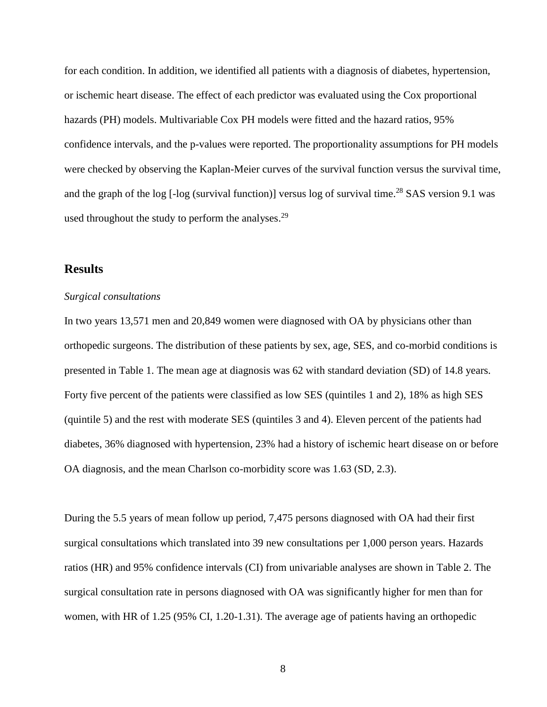for each condition. In addition, we identified all patients with a diagnosis of diabetes, hypertension, or ischemic heart disease. The effect of each predictor was evaluated using the Cox proportional hazards (PH) models. Multivariable Cox PH models were fitted and the hazard ratios, 95% confidence intervals, and the p-values were reported. The proportionality assumptions for PH models were checked by observing the Kaplan-Meier curves of the survival function versus the survival time, and the graph of the log [-log (survival function)] versus log of survival time.<sup>28</sup> SAS version 9.1 was used throughout the study to perform the analyses.<sup>29</sup>

# **Results**

### *Surgical consultations*

In two years 13,571 men and 20,849 women were diagnosed with OA by physicians other than orthopedic surgeons. The distribution of these patients by sex, age, SES, and co-morbid conditions is presented in Table 1. The mean age at diagnosis was 62 with standard deviation (SD) of 14.8 years. Forty five percent of the patients were classified as low SES (quintiles 1 and 2), 18% as high SES (quintile 5) and the rest with moderate SES (quintiles 3 and 4). Eleven percent of the patients had diabetes, 36% diagnosed with hypertension, 23% had a history of ischemic heart disease on or before OA diagnosis, and the mean Charlson co-morbidity score was 1.63 (SD, 2.3).

During the 5.5 years of mean follow up period, 7,475 persons diagnosed with OA had their first surgical consultations which translated into 39 new consultations per 1,000 person years. Hazards ratios (HR) and 95% confidence intervals (CI) from univariable analyses are shown in Table 2. The surgical consultation rate in persons diagnosed with OA was significantly higher for men than for women, with HR of 1.25 (95% CI, 1.20-1.31). The average age of patients having an orthopedic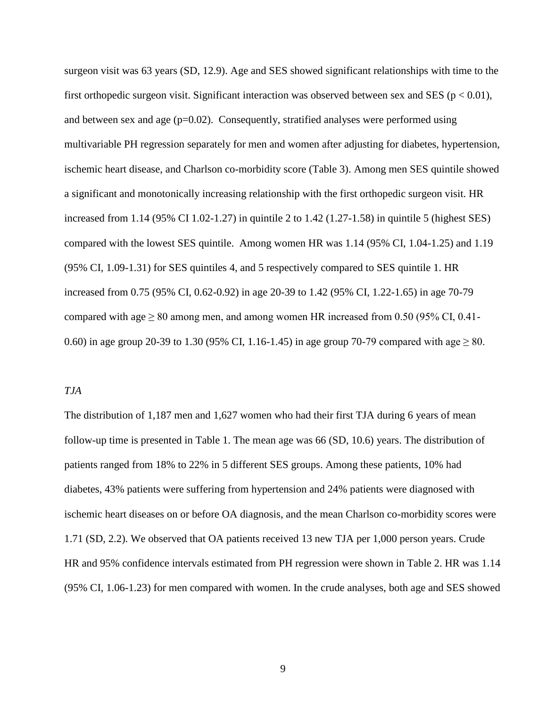surgeon visit was 63 years (SD, 12.9). Age and SES showed significant relationships with time to the first orthopedic surgeon visit. Significant interaction was observed between sex and SES ( $p < 0.01$ ), and between sex and age  $(p=0.02)$ . Consequently, stratified analyses were performed using multivariable PH regression separately for men and women after adjusting for diabetes, hypertension, ischemic heart disease, and Charlson co-morbidity score (Table 3). Among men SES quintile showed a significant and monotonically increasing relationship with the first orthopedic surgeon visit. HR increased from 1.14 (95% CI 1.02-1.27) in quintile 2 to 1.42 (1.27-1.58) in quintile 5 (highest SES) compared with the lowest SES quintile. Among women HR was 1.14 (95% CI, 1.04-1.25) and 1.19 (95% CI, 1.09-1.31) for SES quintiles 4, and 5 respectively compared to SES quintile 1. HR increased from 0.75 (95% CI, 0.62-0.92) in age 20-39 to 1.42 (95% CI, 1.22-1.65) in age 70-79 compared with age  $\geq 80$  among men, and among women HR increased from 0.50 (95% CI, 0.41-0.60) in age group 20-39 to 1.30 (95% CI, 1.16-1.45) in age group 70-79 compared with age  $\geq 80$ .

### *TJA*

The distribution of 1,187 men and 1,627 women who had their first TJA during 6 years of mean follow-up time is presented in Table 1. The mean age was 66 (SD, 10.6) years. The distribution of patients ranged from 18% to 22% in 5 different SES groups. Among these patients, 10% had diabetes, 43% patients were suffering from hypertension and 24% patients were diagnosed with ischemic heart diseases on or before OA diagnosis, and the mean Charlson co-morbidity scores were 1.71 (SD, 2.2). We observed that OA patients received 13 new TJA per 1,000 person years. Crude HR and 95% confidence intervals estimated from PH regression were shown in Table 2. HR was 1.14 (95% CI, 1.06-1.23) for men compared with women. In the crude analyses, both age and SES showed

9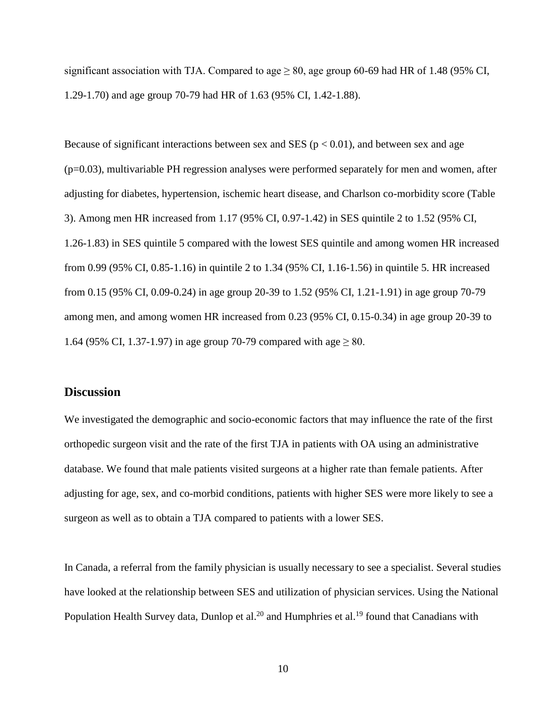significant association with TJA. Compared to age  $\geq 80$ , age group 60-69 had HR of 1.48 (95% CI, 1.29-1.70) and age group 70-79 had HR of 1.63 (95% CI, 1.42-1.88).

Because of significant interactions between sex and SES ( $p < 0.01$ ), and between sex and age  $(p=0.03)$ , multivariable PH regression analyses were performed separately for men and women, after adjusting for diabetes, hypertension, ischemic heart disease, and Charlson co-morbidity score (Table 3). Among men HR increased from 1.17 (95% CI, 0.97-1.42) in SES quintile 2 to 1.52 (95% CI, 1.26-1.83) in SES quintile 5 compared with the lowest SES quintile and among women HR increased from 0.99 (95% CI, 0.85-1.16) in quintile 2 to 1.34 (95% CI, 1.16-1.56) in quintile 5. HR increased from 0.15 (95% CI, 0.09-0.24) in age group 20-39 to 1.52 (95% CI, 1.21-1.91) in age group 70-79 among men, and among women HR increased from 0.23 (95% CI, 0.15-0.34) in age group 20-39 to 1.64 (95% CI, 1.37-1.97) in age group 70-79 compared with age  $\geq 80$ .

## **Discussion**

We investigated the demographic and socio-economic factors that may influence the rate of the first orthopedic surgeon visit and the rate of the first TJA in patients with OA using an administrative database. We found that male patients visited surgeons at a higher rate than female patients. After adjusting for age, sex, and co-morbid conditions, patients with higher SES were more likely to see a surgeon as well as to obtain a TJA compared to patients with a lower SES.

In Canada, a referral from the family physician is usually necessary to see a specialist. Several studies have looked at the relationship between SES and utilization of physician services. Using the National Population Health Survey data, Dunlop et al.<sup>20</sup> and Humphries et al.<sup>19</sup> found that Canadians with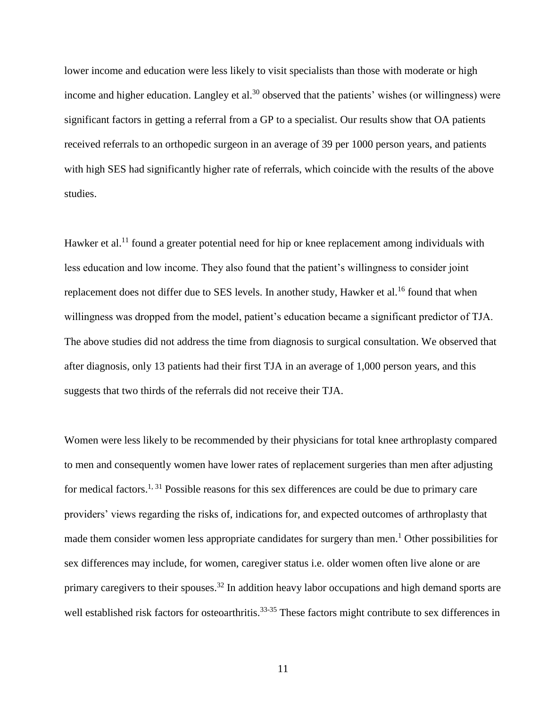lower income and education were less likely to visit specialists than those with moderate or high income and higher education. Langley et al.<sup>30</sup> observed that the patients' wishes (or willingness) were significant factors in getting a referral from a GP to a specialist. Our results show that OA patients received referrals to an orthopedic surgeon in an average of 39 per 1000 person years, and patients with high SES had significantly higher rate of referrals, which coincide with the results of the above studies.

Hawker et al.<sup>11</sup> found a greater potential need for hip or knee replacement among individuals with less education and low income. They also found that the patient's willingness to consider joint replacement does not differ due to SES levels. In another study, Hawker et al.<sup>16</sup> found that when willingness was dropped from the model, patient's education became a significant predictor of TJA. The above studies did not address the time from diagnosis to surgical consultation. We observed that after diagnosis, only 13 patients had their first TJA in an average of 1,000 person years, and this suggests that two thirds of the referrals did not receive their TJA.

Women were less likely to be recommended by their physicians for total knee arthroplasty compared to men and consequently women have lower rates of replacement surgeries than men after adjusting for medical factors.<sup>1, 31</sup> Possible reasons for this sex differences are could be due to primary care providers' views regarding the risks of, indications for, and expected outcomes of arthroplasty that made them consider women less appropriate candidates for surgery than men.<sup>1</sup> Other possibilities for sex differences may include, for women, caregiver status i.e. older women often live alone or are primary caregivers to their spouses.<sup>32</sup> In addition heavy labor occupations and high demand sports are well established risk factors for osteoarthritis.<sup>33-35</sup> These factors might contribute to sex differences in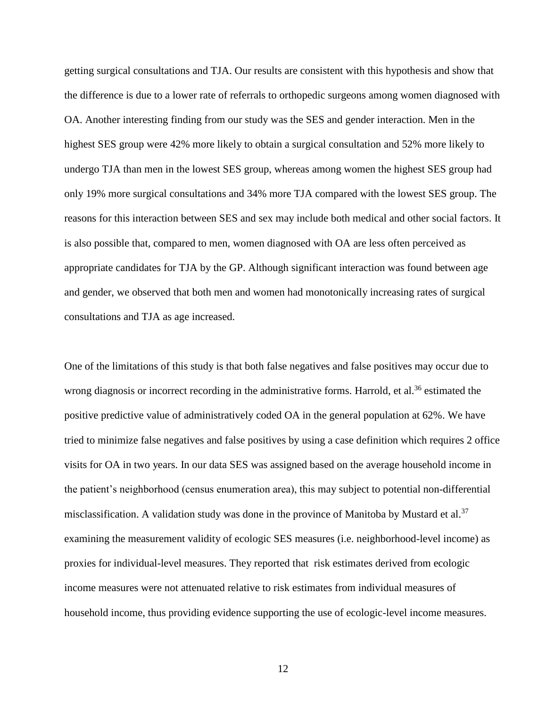getting surgical consultations and TJA. Our results are consistent with this hypothesis and show that the difference is due to a lower rate of referrals to orthopedic surgeons among women diagnosed with OA. Another interesting finding from our study was the SES and gender interaction. Men in the highest SES group were 42% more likely to obtain a surgical consultation and 52% more likely to undergo TJA than men in the lowest SES group, whereas among women the highest SES group had only 19% more surgical consultations and 34% more TJA compared with the lowest SES group. The reasons for this interaction between SES and sex may include both medical and other social factors. It is also possible that, compared to men, women diagnosed with OA are less often perceived as appropriate candidates for TJA by the GP. Although significant interaction was found between age and gender, we observed that both men and women had monotonically increasing rates of surgical consultations and TJA as age increased.

One of the limitations of this study is that both false negatives and false positives may occur due to wrong diagnosis or incorrect recording in the administrative forms. Harrold, et al.<sup>36</sup> estimated the positive predictive value of administratively coded OA in the general population at 62%. We have tried to minimize false negatives and false positives by using a case definition which requires 2 office visits for OA in two years. In our data SES was assigned based on the average household income in the patient's neighborhood (census enumeration area), this may subject to potential non-differential misclassification. A validation study was done in the province of Manitoba by Mustard et al.<sup>37</sup> examining the measurement validity of ecologic SES measures (i.e. neighborhood-level income) as proxies for individual-level measures. They reported that risk estimates derived from ecologic income measures were not attenuated relative to risk estimates from individual measures of household income, thus providing evidence supporting the use of ecologic-level income measures.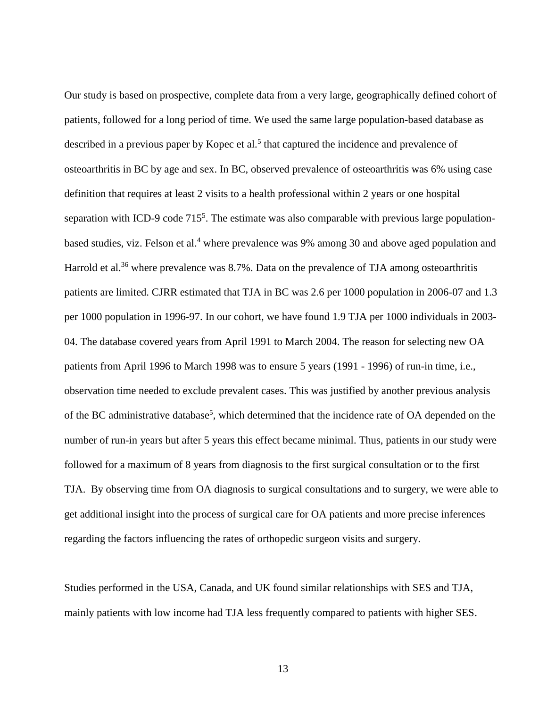Our study is based on prospective, complete data from a very large, geographically defined cohort of patients, followed for a long period of time. We used the same large population-based database as described in a previous paper by Kopec et al.<sup>5</sup> that captured the incidence and prevalence of osteoarthritis in BC by age and sex. In BC, observed prevalence of osteoarthritis was 6% using case definition that requires at least 2 visits to a health professional within 2 years or one hospital separation with ICD-9 code 715<sup>5</sup>. The estimate was also comparable with previous large populationbased studies, viz. Felson et al.<sup>4</sup> where prevalence was 9% among 30 and above aged population and Harrold et al.<sup>36</sup> where prevalence was 8.7%. Data on the prevalence of TJA among osteoarthritis patients are limited. CJRR estimated that TJA in BC was 2.6 per 1000 population in 2006-07 and 1.3 per 1000 population in 1996-97. In our cohort, we have found 1.9 TJA per 1000 individuals in 2003- 04. The database covered years from April 1991 to March 2004. The reason for selecting new OA patients from April 1996 to March 1998 was to ensure 5 years (1991 - 1996) of run-in time, i.e., observation time needed to exclude prevalent cases. This was justified by another previous analysis of the BC administrative database<sup>5</sup>, which determined that the incidence rate of OA depended on the number of run-in years but after 5 years this effect became minimal. Thus, patients in our study were followed for a maximum of 8 years from diagnosis to the first surgical consultation or to the first TJA. By observing time from OA diagnosis to surgical consultations and to surgery, we were able to get additional insight into the process of surgical care for OA patients and more precise inferences regarding the factors influencing the rates of orthopedic surgeon visits and surgery.

Studies performed in the USA, Canada, and UK found similar relationships with SES and TJA, mainly patients with low income had TJA less frequently compared to patients with higher SES.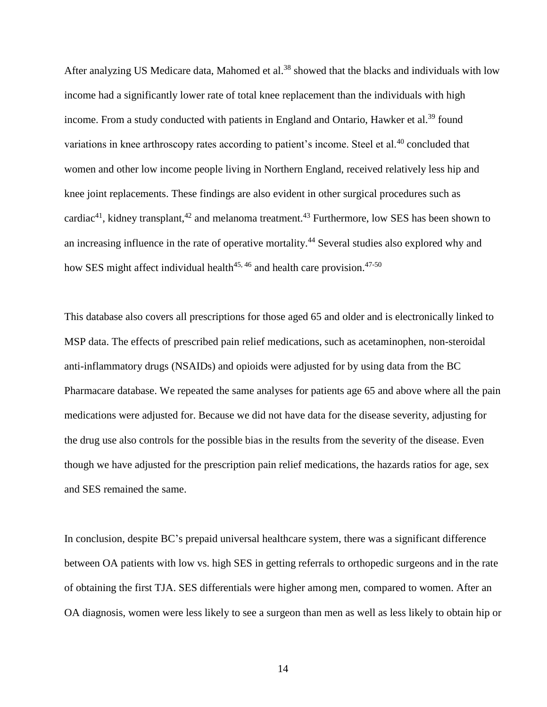After analyzing US Medicare data, Mahomed et al.<sup>38</sup> showed that the blacks and individuals with low income had a significantly lower rate of total knee replacement than the individuals with high income. From a study conducted with patients in England and Ontario, Hawker et al.<sup>39</sup> found variations in knee arthroscopy rates according to patient's income. Steel et al.<sup>40</sup> concluded that women and other low income people living in Northern England, received relatively less hip and knee joint replacements. These findings are also evident in other surgical procedures such as cardiac<sup>41</sup>, kidney transplant,<sup>42</sup> and melanoma treatment.<sup>43</sup> Furthermore, low SES has been shown to an increasing influence in the rate of operative mortality.<sup>44</sup> Several studies also explored why and how SES might affect individual health $45, 46$  and health care provision. $47-50$ 

This database also covers all prescriptions for those aged 65 and older and is electronically linked to MSP data. The effects of prescribed pain relief medications, such as acetaminophen, non-steroidal anti-inflammatory drugs (NSAIDs) and opioids were adjusted for by using data from the BC Pharmacare database. We repeated the same analyses for patients age 65 and above where all the pain medications were adjusted for. Because we did not have data for the disease severity, adjusting for the drug use also controls for the possible bias in the results from the severity of the disease. Even though we have adjusted for the prescription pain relief medications, the hazards ratios for age, sex and SES remained the same.

In conclusion, despite BC's prepaid universal healthcare system, there was a significant difference between OA patients with low vs. high SES in getting referrals to orthopedic surgeons and in the rate of obtaining the first TJA. SES differentials were higher among men, compared to women. After an OA diagnosis, women were less likely to see a surgeon than men as well as less likely to obtain hip or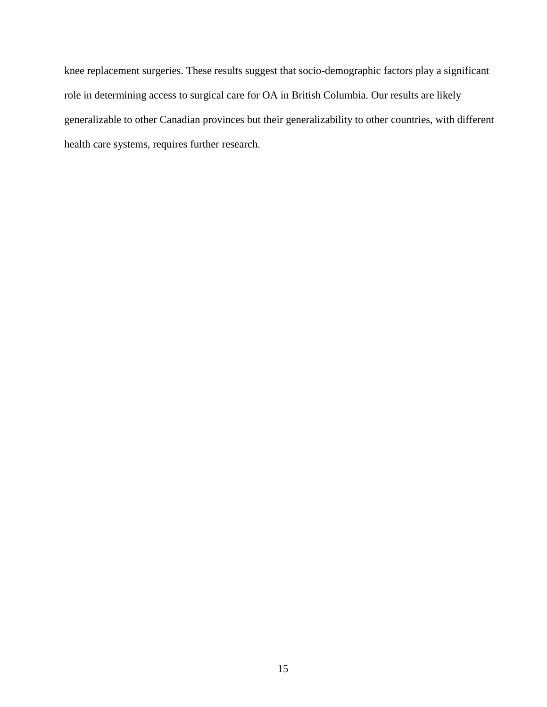knee replacement surgeries. These results suggest that socio-demographic factors play a significant role in determining access to surgical care for OA in British Columbia. Our results are likely generalizable to other Canadian provinces but their generalizability to other countries, with different health care systems, requires further research.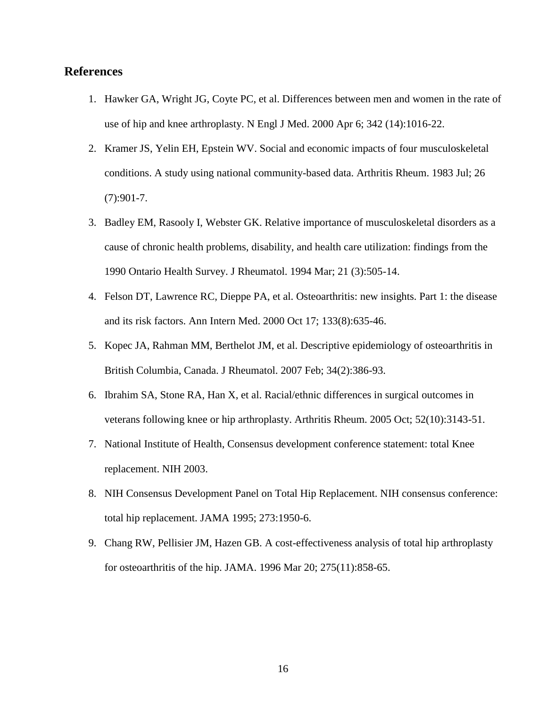# **References**

- 1. Hawker GA, Wright JG, Coyte PC, et al. Differences between men and women in the rate of use of hip and knee arthroplasty. N Engl J Med. 2000 Apr 6; 342 (14):1016-22.
- 2. Kramer JS, Yelin EH, Epstein WV. Social and economic impacts of four musculoskeletal conditions. A study using national community-based data. Arthritis Rheum. 1983 Jul; 26  $(7):901-7.$
- 3. Badley EM, Rasooly I, Webster GK. Relative importance of musculoskeletal disorders as a cause of chronic health problems, disability, and health care utilization: findings from the 1990 Ontario Health Survey. J Rheumatol. 1994 Mar; 21 (3):505-14.
- 4. [Felson DT,](http://www.ncbi.nlm.nih.gov/sites/entrez?Db=pubmed&Cmd=Search&Term=%22Felson%20DT%22%5BAuthor%5D&itool=EntrezSystem2.PEntrez.Pubmed.Pubmed_ResultsPanel.Pubmed_RVAbstractPlus) [Lawrence RC,](http://www.ncbi.nlm.nih.gov/sites/entrez?Db=pubmed&Cmd=Search&Term=%22Lawrence%20RC%22%5BAuthor%5D&itool=EntrezSystem2.PEntrez.Pubmed.Pubmed_ResultsPanel.Pubmed_RVAbstractPlus) [Dieppe PA,](http://www.ncbi.nlm.nih.gov/sites/entrez?Db=pubmed&Cmd=Search&Term=%22Dieppe%20PA%22%5BAuthor%5D&itool=EntrezSystem2.PEntrez.Pubmed.Pubmed_ResultsPanel.Pubmed_RVAbstractPlus) et al. Osteoarthritis: new insights. Part 1: the disease and its risk factors. Ann Intern Med. 2000 Oct 17; 133(8):635-46.
- 5. Kopec JA, Rahman MM, Berthelot JM, et al. Descriptive epidemiology of osteoarthritis in British Columbia, Canada. J Rheumatol. 2007 Feb; 34(2):386-93.
- 6. Ibrahim SA, Stone RA, Han X, et al. Racial/ethnic differences in surgical outcomes in veterans following knee or hip arthroplasty. Arthritis Rheum. 2005 Oct; 52(10):3143-51.
- 7. National Institute of Health, Consensus development conference statement: total Knee replacement. NIH 2003.
- 8. NIH Consensus Development Panel on Total Hip Replacement. NIH consensus conference: total hip replacement. JAMA 1995; 273:1950-6.
- 9. Chang RW, Pellisier JM, Hazen GB. A cost-effectiveness analysis of total hip arthroplasty for osteoarthritis of the hip. JAMA. 1996 Mar 20; 275(11):858-65.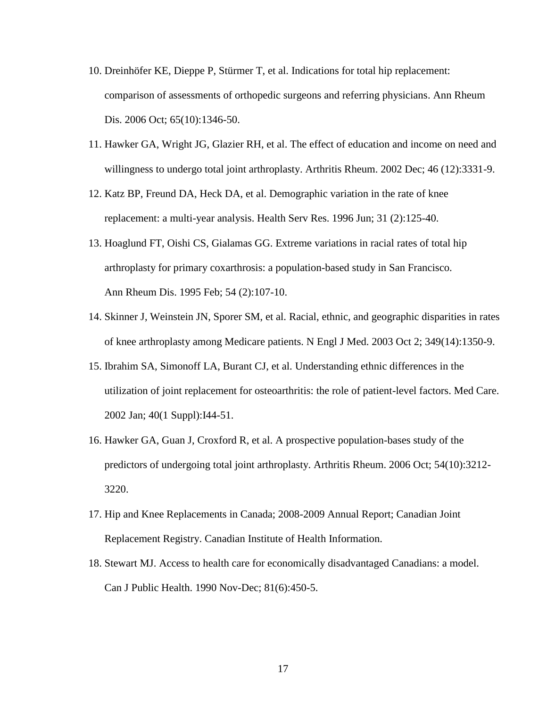- 10. [Dreinhöfer KE,](http://www.ncbi.nlm.nih.gov/sites/entrez?Db=pubmed&Cmd=Search&Term=%22Dreinh%C3%B6fer%20KE%22%5BAuthor%5D&itool=EntrezSystem2.PEntrez.Pubmed.Pubmed_ResultsPanel.Pubmed_RVAbstractPlus) [Dieppe P,](http://www.ncbi.nlm.nih.gov/sites/entrez?Db=pubmed&Cmd=Search&Term=%22Dieppe%20P%22%5BAuthor%5D&itool=EntrezSystem2.PEntrez.Pubmed.Pubmed_ResultsPanel.Pubmed_RVAbstractPlus) [Stürmer T,](http://www.ncbi.nlm.nih.gov/sites/entrez?Db=pubmed&Cmd=Search&Term=%22St%C3%BCrmer%20T%22%5BAuthor%5D&itool=EntrezSystem2.PEntrez.Pubmed.Pubmed_ResultsPanel.Pubmed_RVAbstractPlus) et al. Indications for total hip replacement: comparison of assessments of orthopedic surgeons and referring physicians. Ann Rheum Dis. 2006 Oct; 65(10):1346-50.
- 11. Hawker GA, Wright JG, Glazier RH, et al. The effect of education and income on need and willingness to undergo total joint arthroplasty. Arthritis Rheum. 2002 Dec; 46 (12):3331-9.
- 12. Katz BP, Freund DA, Heck DA, et al. Demographic variation in the rate of knee replacement: a multi-year analysis. Health Serv Res. 1996 Jun; 31 (2):125-40.
- 13. Hoaglund FT, Oishi CS, Gialamas GG. Extreme variations in racial rates of total hip arthroplasty for primary coxarthrosis: a population-based study in San Francisco. Ann Rheum Dis. 1995 Feb; 54 (2):107-10.
- 14. Skinner J, Weinstein JN, Sporer SM, et al. Racial, ethnic, and geographic disparities in rates of knee arthroplasty among Medicare patients. N Engl J Med. 2003 Oct 2; 349(14):1350-9.
- 15. Ibrahim SA, Simonoff LA, Burant CJ, et al. Understanding ethnic differences in the utilization of joint replacement for osteoarthritis: the role of patient-level factors. Med Care. 2002 Jan; 40(1 Suppl):I44-51.
- 16. Hawker GA, Guan J, Croxford R, et al. A prospective population-bases study of the predictors of undergoing total joint arthroplasty. Arthritis Rheum. 2006 Oct; 54(10):3212- 3220.
- 17. Hip and Knee Replacements in Canada; 2008-2009 Annual Report; Canadian Joint Replacement Registry. Canadian Institute of Health Information.
- 18. Stewart MJ. Access to health care for economically disadvantaged Canadians: a model. Can J Public Health. 1990 Nov-Dec; 81(6):450-5.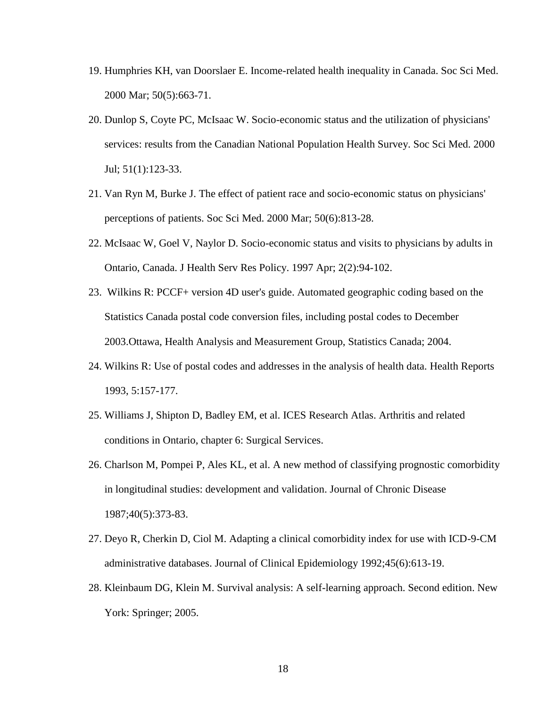- 19. Humphries KH, van Doorslaer E. Income-related health inequality in Canada. Soc Sci Med. 2000 Mar; 50(5):663-71.
- 20. Dunlop S, Coyte PC, McIsaac W. Socio-economic status and the utilization of physicians' services: results from the Canadian National Population Health Survey. Soc Sci Med. 2000 Jul; 51(1):123-33.
- 21. Van Ryn M, Burke J. The effect of patient race and socio-economic status on physicians' perceptions of patients. Soc Sci Med. 2000 Mar; 50(6):813-28.
- 22. McIsaac W, Goel V, Naylor D. Socio-economic status and visits to physicians by adults in Ontario, Canada. J Health Serv Res Policy. 1997 Apr; 2(2):94-102.
- 23. Wilkins R: PCCF+ version 4D user's guide. Automated geographic coding based on the Statistics Canada postal code conversion files, including postal codes to December 2003.Ottawa, Health Analysis and Measurement Group, Statistics Canada; 2004.
- 24. Wilkins R: Use of postal codes and addresses in the analysis of health data. Health Reports 1993, 5:157-177.
- 25. Williams J, Shipton D, Badley EM, et al. ICES Research Atlas. Arthritis and related conditions in Ontario, chapter 6: Surgical Services.
- 26. Charlson M, Pompei P, Ales KL, et al. A new method of classifying prognostic comorbidity in longitudinal studies: development and validation. Journal of Chronic Disease 1987;40(5):373-83.
- 27. Deyo R, Cherkin D, Ciol M. Adapting a clinical comorbidity index for use with ICD-9-CM administrative databases. Journal of Clinical Epidemiology 1992;45(6):613-19.
- 28. Kleinbaum DG, Klein M. Survival analysis: A self-learning approach. Second edition. New York: Springer; 2005.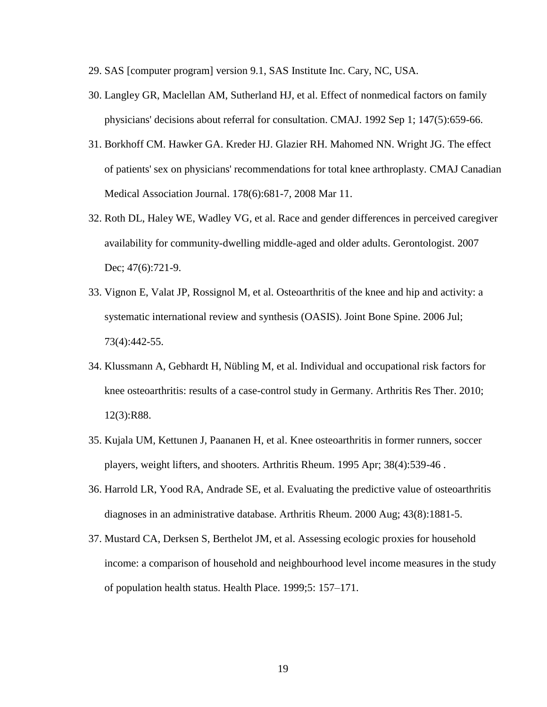- 29. SAS [computer program] version 9.1, SAS Institute Inc. Cary, NC, USA.
- 30. Langley GR, Maclellan AM, Sutherland HJ, et al. Effect of nonmedical factors on family physicians' decisions about referral for consultation. CMAJ. 1992 Sep 1; 147(5):659-66.
- 31. Borkhoff CM. Hawker GA. Kreder HJ. Glazier RH. Mahomed NN. Wright JG. The effect of patients' sex on physicians' recommendations for total knee arthroplasty. CMAJ Canadian Medical Association Journal. 178(6):681-7, 2008 Mar 11.
- 32. Roth DL, Haley WE, Wadley VG, et al. Race and gender differences in perceived caregiver availability for community-dwelling middle-aged and older adults. Gerontologist. 2007 Dec; 47(6):721-9.
- 33. Vignon E, Valat JP, Rossignol M, et al. Osteoarthritis of the knee and hip and activity: a systematic international review and synthesis (OASIS). Joint Bone Spine. 2006 Jul; 73(4):442-55.
- 34. Klussmann A, Gebhardt H, Nübling M, et al. Individual and occupational risk factors for knee osteoarthritis: results of a case-control study in Germany. Arthritis Res Ther. 2010; 12(3):R88.
- 35. Kujala UM, Kettunen J, Paananen H, et al. Knee osteoarthritis in former runners, soccer players, weight lifters, and shooters. Arthritis Rheum. 1995 Apr; 38(4):539-46 .
- 36. Harrold LR, Yood RA, Andrade SE, et al. Evaluating the predictive value of osteoarthritis diagnoses in an administrative database. Arthritis Rheum. 2000 Aug; 43(8):1881-5.
- 37. Mustard CA, Derksen S, Berthelot JM, et al. Assessing ecologic proxies for household income: a comparison of household and neighbourhood level income measures in the study of population health status. Health Place. 1999;5: 157–171.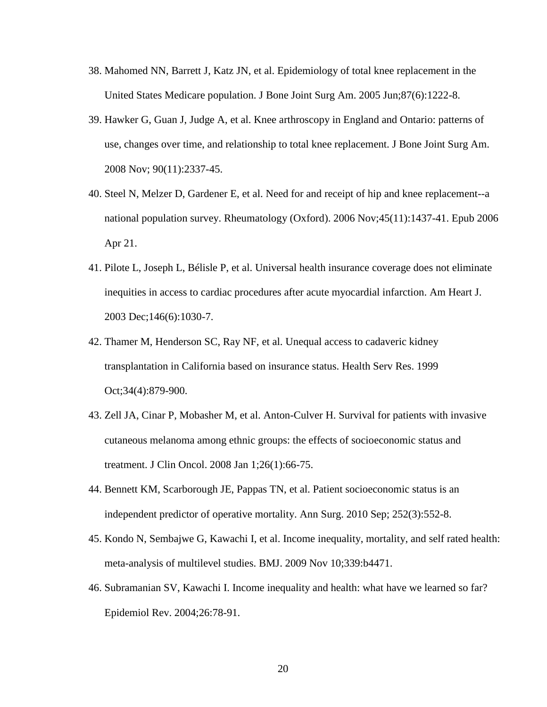- 38. Mahomed NN, Barrett J, Katz JN, et al. Epidemiology of total knee replacement in the United States Medicare population. J Bone Joint Surg Am. 2005 Jun;87(6):1222-8.
- 39. Hawker G, Guan J, Judge A, et al. Knee arthroscopy in England and Ontario: patterns of use, changes over time, and relationship to total knee replacement. J Bone Joint Surg Am. 2008 Nov; 90(11):2337-45.
- 40. Steel N, Melzer D, Gardener E, et al. Need for and receipt of hip and knee replacement--a national population survey. Rheumatology (Oxford). 2006 Nov;45(11):1437-41. Epub 2006 Apr 21.
- 41. Pilote L, Joseph L, Bélisle P, et al. Universal health insurance coverage does not eliminate inequities in access to cardiac procedures after acute myocardial infarction. Am Heart J. 2003 Dec;146(6):1030-7.
- 42. Thamer M, Henderson SC, Ray NF, et al. Unequal access to cadaveric kidney transplantation in California based on insurance status. Health Serv Res. 1999 Oct;34(4):879-900.
- 43. Zell JA, Cinar P, Mobasher M, et al. Anton-Culver H. Survival for patients with invasive cutaneous melanoma among ethnic groups: the effects of socioeconomic status and treatment. J Clin Oncol. 2008 Jan 1;26(1):66-75.
- 44. Bennett KM, Scarborough JE, Pappas TN, et al. Patient socioeconomic status is an independent predictor of operative mortality. Ann Surg. 2010 Sep; 252(3):552-8.
- 45. Kondo N, Sembajwe G, Kawachi I, et al. Income inequality, mortality, and self rated health: meta-analysis of multilevel studies. BMJ. 2009 Nov 10;339:b4471.
- 46. Subramanian SV, Kawachi I. Income inequality and health: what have we learned so far? Epidemiol Rev. 2004;26:78-91.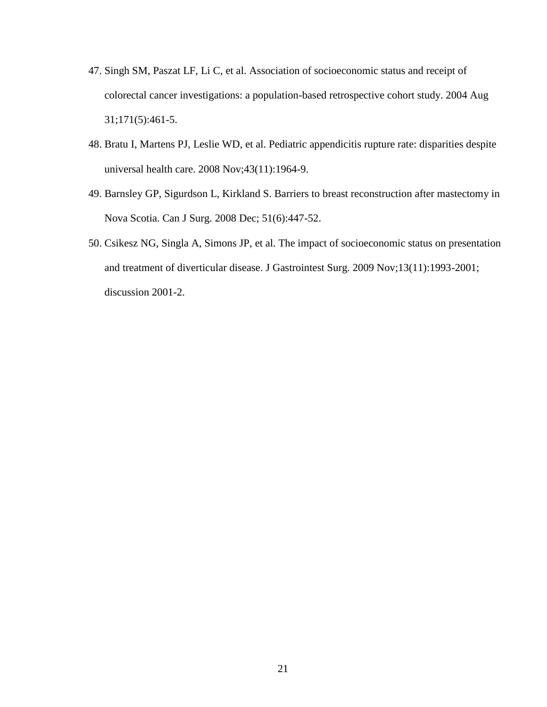- 47. Singh SM, Paszat LF, Li C, et al. Association of socioeconomic status and receipt of colorectal cancer investigations: a population-based retrospective cohort study. 2004 Aug 31;171(5):461-5.
- 48. Bratu I, Martens PJ, Leslie WD, et al. Pediatric appendicitis rupture rate: disparities despite universal health care. 2008 Nov;43(11):1964-9.
- 49. Barnsley GP, Sigurdson L, Kirkland S. Barriers to breast reconstruction after mastectomy in Nova Scotia. Can J Surg. 2008 Dec; 51(6):447-52.
- 50. Csikesz NG, Singla A, Simons JP, et al. The impact of socioeconomic status on presentation and treatment of diverticular disease. J Gastrointest Surg. 2009 Nov;13(11):1993-2001; discussion 2001-2.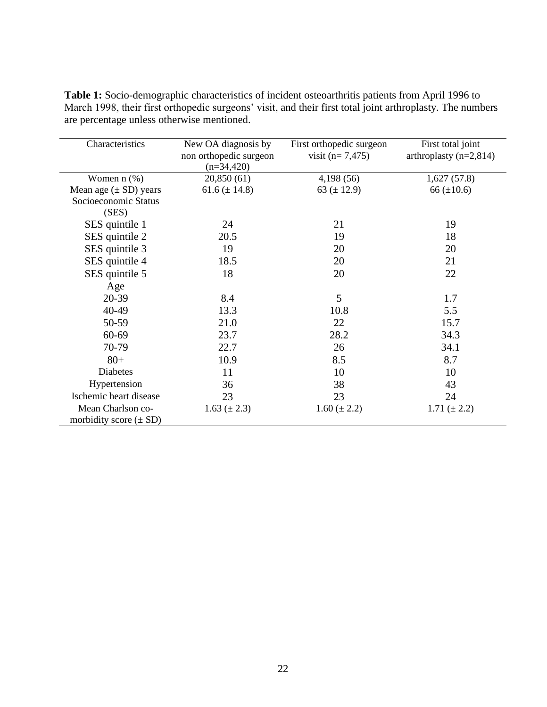| Characteristics            | New OA diagnosis by    | First orthopedic surgeon | First total joint        |
|----------------------------|------------------------|--------------------------|--------------------------|
|                            | non orthopedic surgeon | visit $(n=7,475)$        | arthroplasty $(n=2,814)$ |
|                            | $(n=34,420)$           |                          |                          |
| Women $n$ $(\%)$           | 20,850(61)             | 4,198(56)                | 1,627(57.8)              |
| Mean age $(\pm SD)$ years  | 61.6 $(\pm 14.8)$      | 63 ( $\pm$ 12.9)         | 66 $(\pm 10.6)$          |
| Socioeconomic Status       |                        |                          |                          |
| (SES)                      |                        |                          |                          |
| SES quintile 1             | 24                     | 21                       | 19                       |
| SES quintile 2             | 20.5                   | 19                       | 18                       |
| SES quintile 3             | 19                     | 20                       | 20                       |
| SES quintile 4             | 18.5                   | 20                       | 21                       |
| SES quintile 5             | 18                     | 20                       | 22                       |
| Age                        |                        |                          |                          |
| 20-39                      | 8.4                    | 5                        | 1.7                      |
| 40-49                      | 13.3                   | 10.8                     | 5.5                      |
| 50-59                      | 21.0                   | 22                       | 15.7                     |
| 60-69                      | 23.7                   | 28.2                     | 34.3                     |
| 70-79                      | 22.7                   | 26                       | 34.1                     |
| $80+$                      | 10.9                   | 8.5                      | 8.7                      |
| <b>Diabetes</b>            | 11                     | 10                       | 10                       |
| Hypertension               | 36                     | 38                       | 43                       |
| Ischemic heart disease     | 23                     | 23                       | 24                       |
| Mean Charlson co-          | 1.63 $(\pm 2.3)$       | $1.60 \ (\pm 2.2)$       | 1.71 $(\pm 2.2)$         |
| morbidity score $(\pm SD)$ |                        |                          |                          |

**Table 1:** Socio-demographic characteristics of incident osteoarthritis patients from April 1996 to March 1998, their first orthopedic surgeons' visit, and their first total joint arthroplasty. The numbers are percentage unless otherwise mentioned.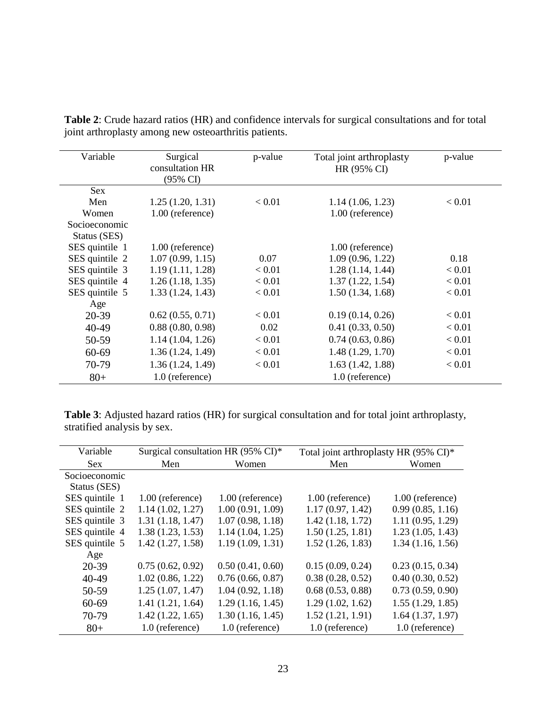| Variable       | Surgical<br>consultation HR<br>(95% CI) | p-value | Total joint arthroplasty<br>HR (95% CI) | p-value       |
|----------------|-----------------------------------------|---------|-----------------------------------------|---------------|
| <b>Sex</b>     |                                         |         |                                         |               |
| Men            | 1.25(1.20, 1.31)                        | < 0.01  | 1.14(1.06, 1.23)                        | ${}_{< 0.01}$ |
| Women          | 1.00 (reference)                        |         | 1.00 (reference)                        |               |
| Socioeconomic  |                                         |         |                                         |               |
| Status (SES)   |                                         |         |                                         |               |
| SES quintile 1 | $1.00$ (reference)                      |         | $1.00$ (reference)                      |               |
| SES quintile 2 | 1.07(0.99, 1.15)                        | 0.07    | 1.09(0.96, 1.22)                        | 0.18          |
| SES quintile 3 | 1.19(1.11, 1.28)                        | < 0.01  | 1.28(1.14, 1.44)                        | < 0.01        |
| SES quintile 4 | 1.26(1.18, 1.35)                        | < 0.01  | 1.37(1.22, 1.54)                        | < 0.01        |
| SES quintile 5 | 1.33(1.24, 1.43)                        | < 0.01  | 1.50(1.34, 1.68)                        | < 0.01        |
| Age            |                                         |         |                                         |               |
| 20-39          | 0.62(0.55, 0.71)                        | < 0.01  | 0.19(0.14, 0.26)                        | < 0.01        |
| 40-49          | 0.88(0.80, 0.98)                        | 0.02    | 0.41(0.33, 0.50)                        | < 0.01        |
| 50-59          | 1.14(1.04, 1.26)                        | < 0.01  | 0.74(0.63, 0.86)                        | < 0.01        |
| $60 - 69$      | 1.36(1.24, 1.49)                        | < 0.01  | 1.48(1.29, 1.70)                        | < 0.01        |
| 70-79          | 1.36(1.24, 1.49)                        | < 0.01  | 1.63(1.42, 1.88)                        | < 0.01        |
| $80+$          | 1.0 (reference)                         |         | 1.0 (reference)                         |               |

**Table 2**: Crude hazard ratios (HR) and confidence intervals for surgical consultations and for total joint arthroplasty among new osteoarthritis patients.

**Table 3**: Adjusted hazard ratios (HR) for surgical consultation and for total joint arthroplasty, stratified analysis by sex.

| Variable       | Surgical consultation HR $(95\% \text{ CI})^*$ |                    | Total joint arthroplasty HR (95% CI)* |                    |
|----------------|------------------------------------------------|--------------------|---------------------------------------|--------------------|
| <b>Sex</b>     | Men                                            | Women              | Men                                   | Women              |
| Socioeconomic  |                                                |                    |                                       |                    |
| Status (SES)   |                                                |                    |                                       |                    |
| SES quintile 1 | $1.00$ (reference)                             | $1.00$ (reference) | $1.00$ (reference)                    | $1.00$ (reference) |
| SES quintile 2 | 1.14(1.02, 1.27)                               | 1.00(0.91, 1.09)   | 1.17(0.97, 1.42)                      | 0.99(0.85, 1.16)   |
| SES quintile 3 | 1.31(1.18, 1.47)                               | 1.07(0.98, 1.18)   | 1.42(1.18, 1.72)                      | 1.11(0.95, 1.29)   |
| SES quintile 4 | 1.38(1.23, 1.53)                               | 1.14(1.04, 1.25)   | 1.50(1.25, 1.81)                      | 1.23(1.05, 1.43)   |
| SES quintile 5 | 1.42(1.27, 1.58)                               | 1.19(1.09, 1.31)   | 1.52(1.26, 1.83)                      | 1.34(1.16, 1.56)   |
| Age            |                                                |                    |                                       |                    |
| 20-39          | 0.75(0.62, 0.92)                               | 0.50(0.41, 0.60)   | 0.15(0.09, 0.24)                      | 0.23(0.15, 0.34)   |
| 40-49          | 1.02(0.86, 1.22)                               | 0.76(0.66, 0.87)   | 0.38(0.28, 0.52)                      | 0.40(0.30, 0.52)   |
| 50-59          | 1.25(1.07, 1.47)                               | 1.04(0.92, 1.18)   | 0.68(0.53, 0.88)                      | 0.73(0.59, 0.90)   |
| $60 - 69$      | 1.41(1.21, 1.64)                               | 1.29(1.16, 1.45)   | 1.29(1.02, 1.62)                      | 1.55(1.29, 1.85)   |
| 70-79          | 1.42(1.22, 1.65)                               | 1.30(1.16, 1.45)   | 1.52(1.21, 1.91)                      | 1.64(1.37, 1.97)   |
| $80 +$         | 1.0 (reference)                                | 1.0 (reference)    | 1.0 (reference)                       | 1.0 (reference)    |